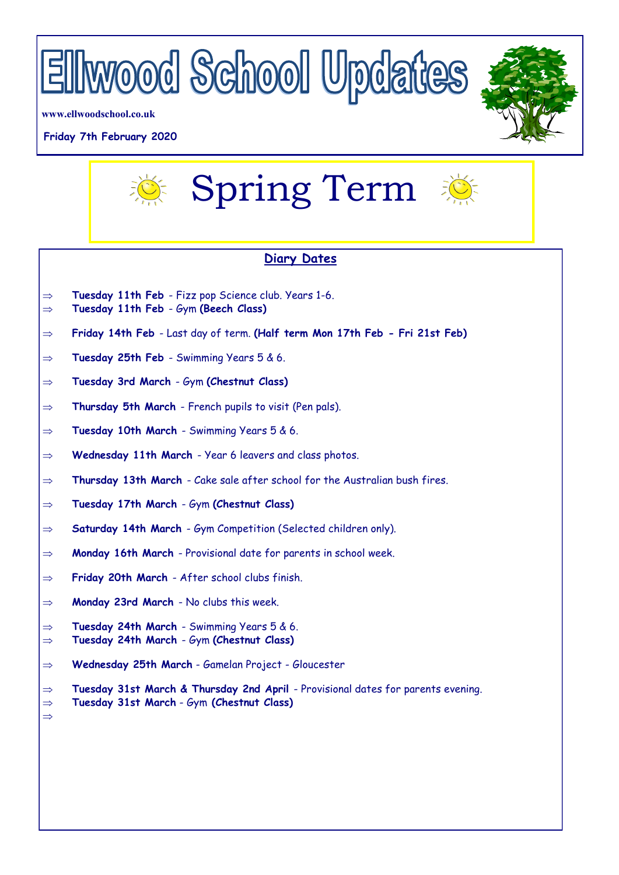

**www.ellwoodschool.co.uk**

## **Friday 7th February 2020**





## **Diary Dates**

- $\Rightarrow$  Tuesday 11th Feb Fizz pop Science club. Years 1-6.
- **Tuesday 11th Feb**  Gym **(Beech Class)**
- **Friday 14th Feb**  Last day of term. **(Half term Mon 17th Feb - Fri 21st Feb)**
- **Tuesday 25th Feb**  Swimming Years 5 & 6.
- **Tuesday 3rd March**  Gym **(Chestnut Class)**
- $\Rightarrow$  **Thursday 5th March** French pupils to visit (Pen pals).
- **Tuesday 10th March**  Swimming Years 5 & 6.
- **Wednesday 11th March**  Year 6 leavers and class photos.
- **Thursday 13th March**  Cake sale after school for the Australian bush fires.
- **Tuesday 17th March**  Gym **(Chestnut Class)**
- $\Rightarrow$  **Saturday 14th March** Gym Competition (Selected children only).
- **Monday 16th March**  Provisional date for parents in school week.
- **Friday 20th March**  After school clubs finish.
- **Monday 23rd March**  No clubs this week.

 $\Rightarrow$ 

- **Tuesday 24th March**  Swimming Years 5 & 6.
- **Tuesday 24th March**  Gym **(Chestnut Class)**
- **Wednesday 25th March** Gamelan Project Gloucester

 **Tuesday 31st March & Thursday 2nd April** - Provisional dates for parents evening. **Tuesday 31st March** - Gym **(Chestnut Class)**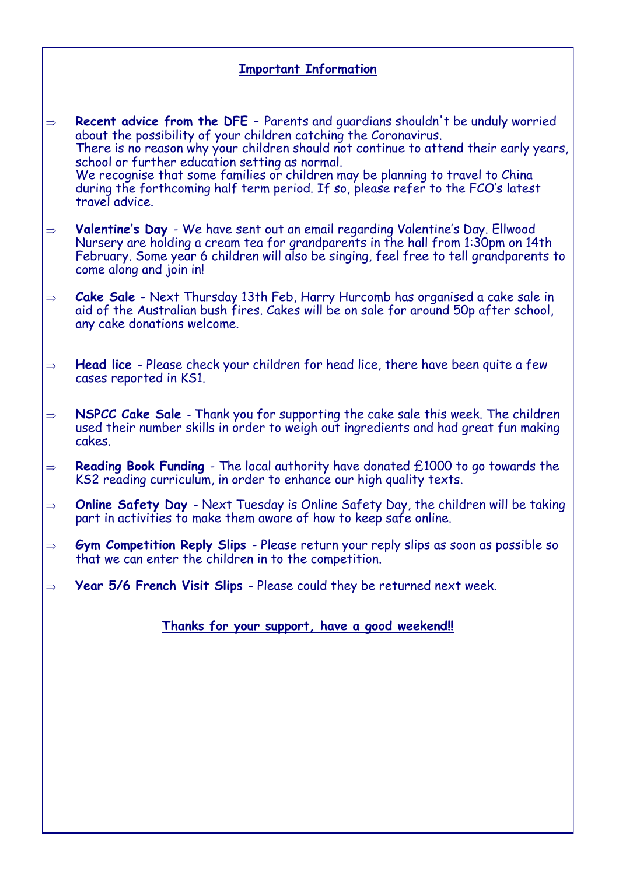## **Important Information**

 **Recent advice from the DFE** – Parents and guardians shouldn't be unduly worried about the possibility of your children catching the Coronavirus. There is no reason why your children should not continue to attend their early years, school or further education setting as normal. We recognise that some families or children may be planning to travel to China during the forthcoming half term period. If so, please refer to the FCO's latest travel advice.

 **Valentine's Day** - We have sent out an email regarding Valentine's Day. Ellwood Nursery are holding a cream tea for grandparents in the hall from 1:30pm on 14th February. Some year 6 children will also be singing, feel free to tell grandparents to come along and join in!

 **Cake Sale** - Next Thursday 13th Feb, Harry Hurcomb has organised a cake sale in aid of the Australian bush fires. Cakes will be on sale for around 50p after school, any cake donations welcome.

 **Head lice** - Please check your children for head lice, there have been quite a few cases reported in KS1.

 **NSPCC Cake Sale** - Thank you for supporting the cake sale this week. The children used their number skills in order to weigh out ingredients and had great fun making cakes.

 $\Rightarrow$  **Reading Book Funding** - The local authority have donated £1000 to go towards the KS2 reading curriculum, in order to enhance our high quality texts.

 **Online Safety Day** - Next Tuesday is Online Safety Day, the children will be taking part in activities to make them aware of how to keep safe online.

 **Gym Competition Reply Slips** - Please return your reply slips as soon as possible so that we can enter the children in to the competition.

**Year 5/6 French Visit Slips** - Please could they be returned next week.

**Thanks for your support, have a good weekend!!**